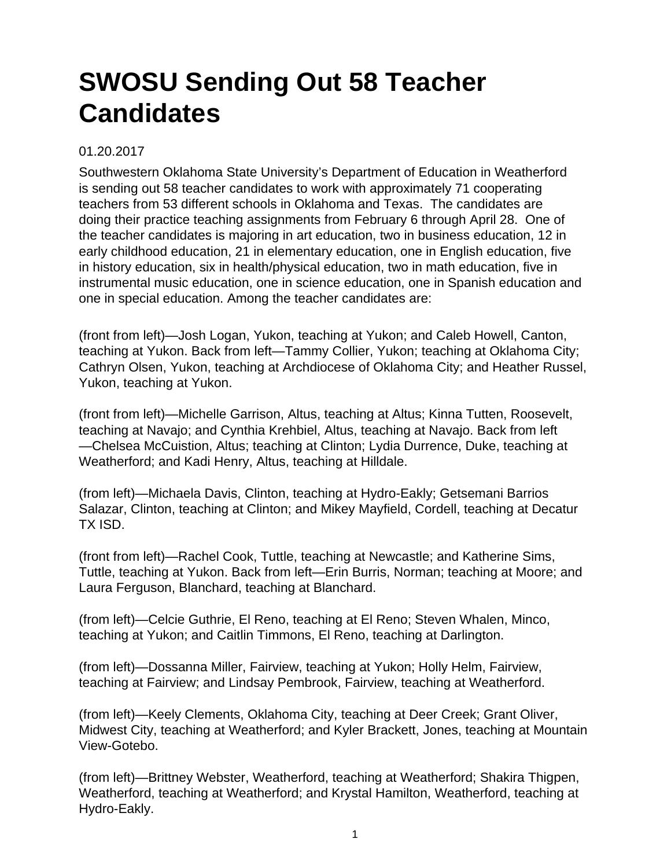## **SWOSU Sending Out 58 Teacher Candidates**

## 01.20.2017

Southwestern Oklahoma State University's Department of Education in Weatherford is sending out 58 teacher candidates to work with approximately 71 cooperating teachers from 53 different schools in Oklahoma and Texas. The candidates are doing their practice teaching assignments from February 6 through April 28. One of the teacher candidates is majoring in art education, two in business education, 12 in early childhood education, 21 in elementary education, one in English education, five in history education, six in health/physical education, two in math education, five in instrumental music education, one in science education, one in Spanish education and one in special education. Among the teacher candidates are:

(front from left)—Josh Logan, Yukon, teaching at Yukon; and Caleb Howell, Canton, teaching at Yukon. Back from left—Tammy Collier, Yukon; teaching at Oklahoma City; Cathryn Olsen, Yukon, teaching at Archdiocese of Oklahoma City; and Heather Russel, Yukon, teaching at Yukon.

(front from left)—Michelle Garrison, Altus, teaching at Altus; Kinna Tutten, Roosevelt, teaching at Navajo; and Cynthia Krehbiel, Altus, teaching at Navajo. Back from left —Chelsea McCuistion, Altus; teaching at Clinton; Lydia Durrence, Duke, teaching at Weatherford; and Kadi Henry, Altus, teaching at Hilldale.

(from left)—Michaela Davis, Clinton, teaching at Hydro-Eakly; Getsemani Barrios Salazar, Clinton, teaching at Clinton; and Mikey Mayfield, Cordell, teaching at Decatur TX ISD.

(front from left)—Rachel Cook, Tuttle, teaching at Newcastle; and Katherine Sims, Tuttle, teaching at Yukon. Back from left—Erin Burris, Norman; teaching at Moore; and Laura Ferguson, Blanchard, teaching at Blanchard.

(from left)—Celcie Guthrie, El Reno, teaching at El Reno; Steven Whalen, Minco, teaching at Yukon; and Caitlin Timmons, El Reno, teaching at Darlington.

(from left)—Dossanna Miller, Fairview, teaching at Yukon; Holly Helm, Fairview, teaching at Fairview; and Lindsay Pembrook, Fairview, teaching at Weatherford.

(from left)—Keely Clements, Oklahoma City, teaching at Deer Creek; Grant Oliver, Midwest City, teaching at Weatherford; and Kyler Brackett, Jones, teaching at Mountain View-Gotebo.

(from left)—Brittney Webster, Weatherford, teaching at Weatherford; Shakira Thigpen, Weatherford, teaching at Weatherford; and Krystal Hamilton, Weatherford, teaching at Hydro-Eakly.